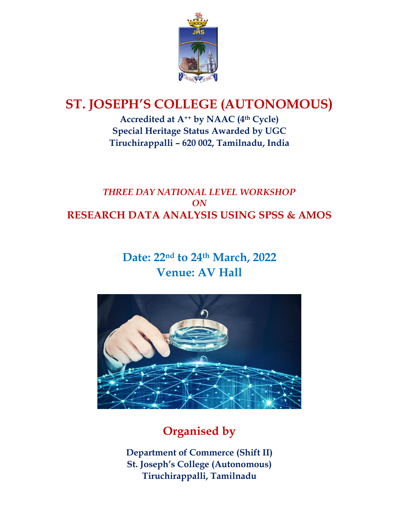

# **ST. JOSEPH'S COLLEGE (AUTONOMOUS)**

**Accredited at A++ by NAAC (4th Cycle) Special Heritage Status Awarded by UGC Tiruchirappalli – 620 002, Tamilnadu, India**

## *THREE DAY NATIONAL LEVEL WORKSHOP ON* **RESEARCH DATA ANALYSIS USING SPSS & AMOS**

## **Date: 22nd to 24 th March, 2022 Venue: AV Hall**



# **Organised by**

**Department of Commerce (Shift II) St. Joseph's College (Autonomous) Tiruchirappalli, Tamilnadu**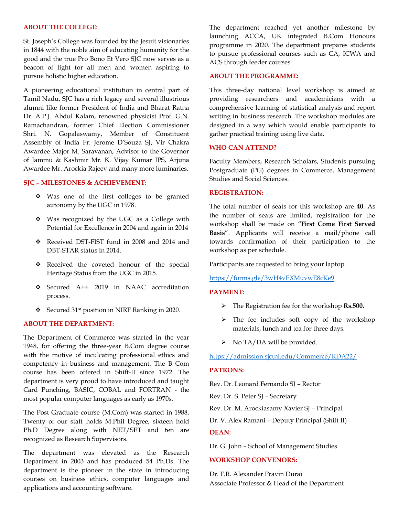#### **ABOUT THE COLLEGE:**

St. Joseph's College was founded by the Jesuit visionaries in 1844 with the noble aim of educating humanity for the good and the true Pro Bono Et Vero SJC now serves as a beacon of light for all men and women aspiring to pursue holistic higher education.

A pioneering educational institution in central part of Tamil Nadu, SJC has a rich legacy and several illustrious alumni like former President of India and Bharat Ratna Dr. A.P.J. Abdul Kalam, renowned physicist Prof. G.N. Ramachandran, former Chief Election Commissioner Shri. N. Gopalaswamy, Member of Constituent Assembly of India Fr. Jerome D'Souza SJ, Vir Chakra Awardee Major M. Saravanan, Advisor to the Governor of Jammu & Kashmir Mr. K. Vijay Kumar IPS, Arjuna Awardee Mr. Arockia Rajeev and many more luminaries.

#### **SJC – MILESTONES & ACHIEVEMENT:**

- ❖ Was one of the first colleges to be granted autonomy by the UGC in 1978.
- ❖ Was recognized by the UGC as a College with Potential for Excellence in 2004 and again in 2014
- ❖ Received DST-FIST fund in 2008 and 2014 and DBT-STAR status in 2014.
- ❖ Received the coveted honour of the special Heritage Status from the UGC in 2015.
- ❖ Secured A++ 2019 in NAAC accreditation process.
- ❖ Secured 31st position in NIRF Ranking in 2020.

#### **ABOUT THE DEPARTMENT:**

The Department of Commerce was started in the year 1948, for offering the three-year B.Com degree course with the motive of inculcating professional ethics and competency in business and management. The B Com course has been offered in Shift-II since 1972. The department is very proud to have introduced and taught Card Punching, BASIC, COBAL and FORTRAN - the most popular computer languages as early as 1970s.

The Post Graduate course (M.Com) was started in 1988. Twenty of our staff holds M.Phil Degree, sixteen hold Ph.D Degree along with NET/SET and ten are recognized as Research Supervisors.

The department was elevated as the Research Department in 2003 and has produced 54 Ph.Ds. The department is the pioneer in the state in introducing courses on business ethics, computer languages and applications and accounting software.

The department reached yet another milestone by launching ACCA, UK integrated B.Com Honours programme in 2020. The department prepares students to pursue professional courses such as CA, ICWA and ACS through feeder courses.

#### **ABOUT THE PROGRAMME:**

This three-day national level workshop is aimed at providing researchers and academicians with a comprehensive learning of statistical analysis and report writing in business research. The workshop modules are designed in a way which would enable participants to gather practical training using live data.

#### **WHO CAN ATTEND?**

Faculty Members, Research Scholars, Students pursuing Postgraduate (PG) degrees in Commerce, Management Studies and Social Sciences.

#### **REGISTRATION:**

The total number of seats for this workshop are **40**. As the number of seats are limited, registration for the workshop shall be made on **"First Come First Served Basis**". Applicants will receive a mail/phone call towards confirmation of their participation to the workshop as per schedule.

Participants are requested to bring your laptop.

#### <https://forms.gle/3wH4vEXMuvwE8cKe9>

#### **PAYMENT:**

- ➢ The Registration fee for the workshop **Rs.500.**
- ➢ The fee includes soft copy of the workshop materials, lunch and tea for three days.
- $\triangleright$  No TA/DA will be provided.

#### <https://admission.sjctni.edu/Commerce/RDA22/>

#### **PATRONS:**

Rev. Dr. Leonard Fernando SJ – Rector

Rev. Dr. S. Peter SJ – Secretary

Rev. Dr. M. Arockiasamy Xavier SJ – Principal

Dr. V. Alex Ramani – Deputy Principal (Shift II)

### **DEAN:**

Dr. G. John – School of Management Studies

#### **WORKSHOP CONVENORS:**

Dr. F.R. Alexander Pravin Durai Associate Professor & Head of the Department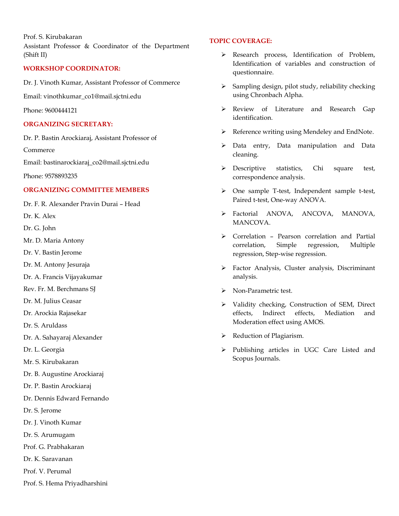Prof. S. Kirubakaran Assistant Professor & Coordinator of the Department (Shift II)

#### **WORKSHOP COORDINATOR:**

Dr. J. Vinoth Kumar, Assistant Professor of Commerce

Email: [vinothkumar\\_co1@mail.sjctni.edu](mailto:vinothkumar_co1@mail.sjctni.edu)

Phone: 9600444121

#### **ORGANIZING SECRETARY:**

Dr. P. Bastin Arockiaraj, Assistant Professor of

Commerce

Email: [bastinarockiaraj\\_co2@mail.sjctni.edu](mailto:bastinarockiaraj_co2@mail.sjctni.edu)

Phone: 9578893235

### **ORGANIZING COMMITTEE MEMBERS**

Dr. F. R. Alexander Pravin Durai – Head

Dr. K. Alex

- Dr. G. John
- Mr. D. Maria Antony
- Dr. V. Bastin Jerome
- Dr. M. Antony Jesuraja
- Dr. A. Francis Vijayakumar
- Rev. Fr. M. Berchmans SJ
- Dr. M. Julius Ceasar
- Dr. Arockia Rajasekar
- Dr. S. Aruldass
- Dr. A. Sahayaraj Alexander
- Dr. L. Georgia
- Mr. S. Kirubakaran
- Dr. B. Augustine Arockiaraj
- Dr. P. Bastin Arockiaraj
- Dr. Dennis Edward Fernando
- Dr. S. Jerome
- Dr. J. Vinoth Kumar
- Dr. S. Arumugam
- Prof. G. Prabhakaran
- Dr. K. Saravanan
- Prof. V. Perumal
- Prof. S. Hema Priyadharshini

#### **TOPIC COVERAGE:**

- ➢ Research process, Identification of Problem, Identification of variables and construction of questionnaire.
- ➢ Sampling design, pilot study, reliability checking using Chronbach Alpha.
- ➢ Review of Literature and Research Gap identification.
- ➢ Reference writing using Mendeley and EndNote.
- ➢ Data entry, Data manipulation and Data cleaning.
- ➢ Descriptive statistics, Chi square test, correspondence analysis.
- ➢ One sample T-test, Independent sample t-test, Paired t-test, One-way ANOVA.
- ➢ Factorial ANOVA, ANCOVA, MANOVA, MANCOVA.
- ➢ Correlation Pearson correlation and Partial correlation, Simple regression, Multiple regression, Step-wise regression.
- ➢ Factor Analysis, Cluster analysis, Discriminant analysis.
- ➢ Non-Parametric test.
- ➢ Validity checking, Construction of SEM, Direct effects, Indirect effects, Mediation and Moderation effect using AMOS.
- ➢ Reduction of Plagiarism.
- ➢ Publishing articles in UGC Care Listed and Scopus Journals.